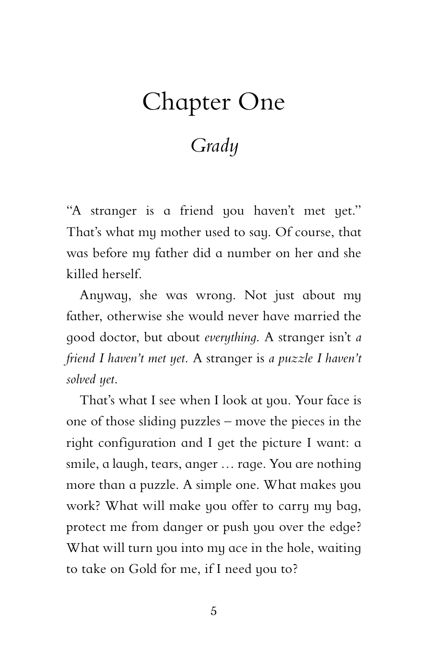## Chapter One

## *Grady*

"A stranger is a friend you haven't met yet." That's what my mother used to say. Of course, that was before my father did a number on her and she killed herself.

Anyway, she was wrong. Not just about my father, otherwise she would never have married the good doctor, but about *everything*. A stranger isn't *a friend I haven't met yet.* A stranger is *a puzzle I haven't solved yet*.

That's what I see when I look at you. Your face is one of those sliding puzzles – move the pieces in the right configuration and I get the picture I want: a smile, a laugh, tears, anger … rage. You are nothing more than a puzzle. A simple one. What makes you work? What will make you offer to carry my bag, protect me from danger or push you over the edge? What will turn you into my ace in the hole, waiting to take on Gold for me, if I need you to?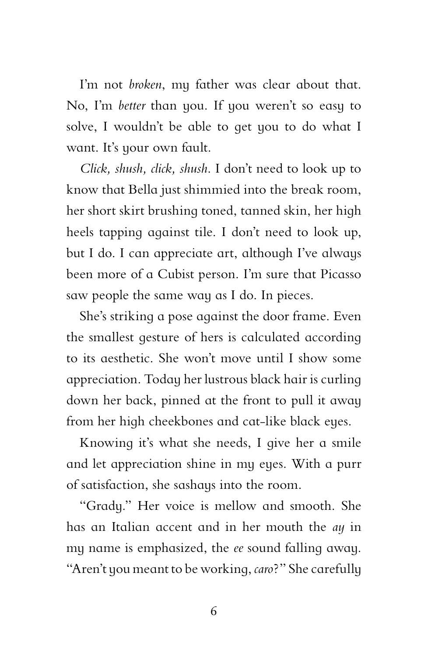I'm not *broken*, my father was clear about that. No, I'm *better* than you. If you weren't so easy to solve, I wouldn't be able to get you to do what I want. It's your own fault.

*Click, shush, click, shush*. I don't need to look up to know that Bella just shimmied into the break room, her short skirt brushing toned, tanned skin, her high heels tapping against tile. I don't need to look up, but I do. I can appreciate art, although I've always been more of a Cubist person. I'm sure that Picasso saw people the same way as I do. In pieces.

She's striking a pose against the door frame. Even the smallest gesture of hers is calculated according to its aesthetic. She won't move until I show some appreciation. Today her lustrous black hair is curling down her back, pinned at the front to pull it away from her high cheekbones and cat-like black eyes.

Knowing it's what she needs, I give her a smile and let appreciation shine in my eyes. With a purr of satisfaction, she sashays into the room.

"Grady." Her voice is mellow and smooth. She has an Italian accent and in her mouth the *ay* in my name is emphasized, the *ee* sound falling away. "Aren't you meant to be working, *caro*?" She carefully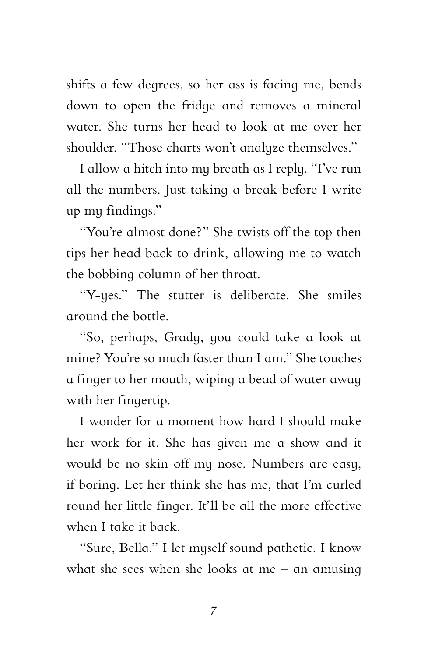shifts a few degrees, so her ass is facing me, bends down to open the fridge and removes a mineral water. She turns her head to look at me over her shoulder. "Those charts won't analyze themselves."

I allow a hitch into my breath as I reply. "I've run all the numbers. Just taking a break before I write up my findings."

"You're almost done?" She twists off the top then tips her head back to drink, allowing me to watch the bobbing column of her throat.

"Y-yes." The stutter is deliberate. She smiles around the bottle.

"So, perhaps, Grady, you could take a look at mine? You're so much faster than I am." She touches a finger to her mouth, wiping a bead of water away with her fingertip.

I wonder for a moment how hard I should make her work for it. She has given me a show and it would be no skin off my nose. Numbers are easy, if boring. Let her think she has me, that I'm curled round her little finger. It'll be all the more effective when I take it back.

"Sure, Bella." I let myself sound pathetic. I know what she sees when she looks at me – an amusing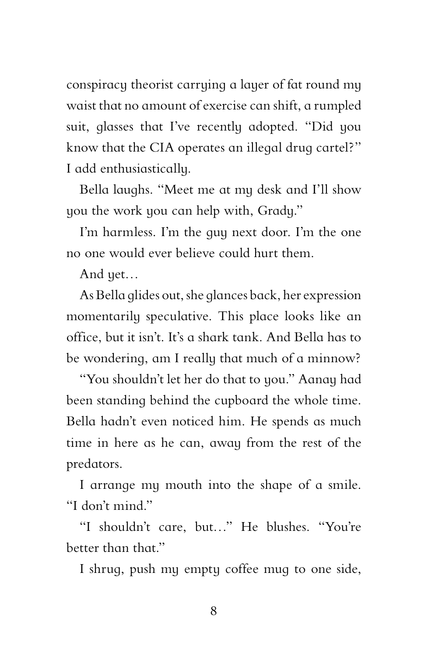conspiracy theorist carrying a layer of fat round my waist that no amount of exercise can shift, a rumpled suit, glasses that I've recently adopted. "Did you know that the CIA operates an illegal drug cartel?" I add enthusiastically.

Bella laughs. "Meet me at my desk and I'll show you the work you can help with, Grady."

I'm harmless. I'm the guy next door. I'm the one no one would ever believe could hurt them.

And yet...

As Bella glides out, she glances back, her expression momentarily speculative. This place looks like an office, but it isn't. It's a shark tank. And Bella has to be wondering, am I really that much of a minnow?

"You shouldn't let her do that to you." Aanay had been standing behind the cupboard the whole time. Bella hadn't even noticed him. He spends as much time in here as he can, away from the rest of the predators.

I arrange my mouth into the shape of a smile. "I don't mind."

"I shouldn't care, but…" He blushes. "You're better than that."

I shrug, push my empty coffee mug to one side,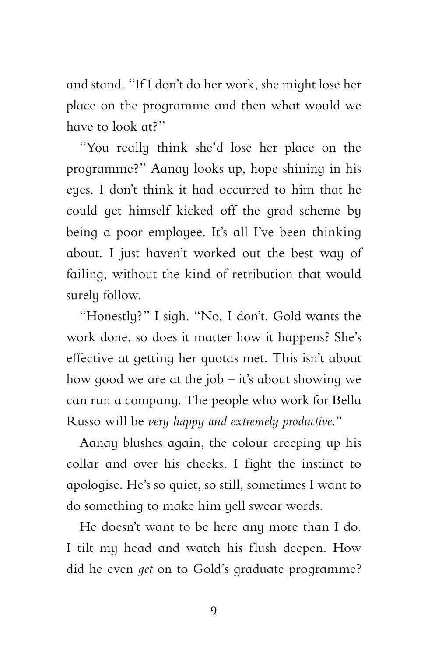and stand. "If I don't do her work, she might lose her place on the programme and then what would we have to look at?"

"You really think she'd lose her place on the programme?" Aanay looks up, hope shining in his eyes. I don't think it had occurred to him that he could get himself kicked off the grad scheme by being a poor employee. It's all I've been thinking about. I just haven't worked out the best way of failing, without the kind of retribution that would surely follow.

"Honestly?" I sigh. "No, I don't. Gold wants the work done, so does it matter how it happens? She's effective at getting her quotas met. This isn't about how good we are at the job  $-$  it's about showing we can run a company. The people who work for Bella Russo will be *very happy and extremely productive."* 

Aanay blushes again, the colour creeping up his collar and over his cheeks. I fight the instinct to apologise. He's so quiet, so still, sometimes I want to do something to make him yell swear words.

He doesn't want to be here any more than I do. I tilt my head and watch his flush deepen. How did he even *get* on to Gold's graduate programme?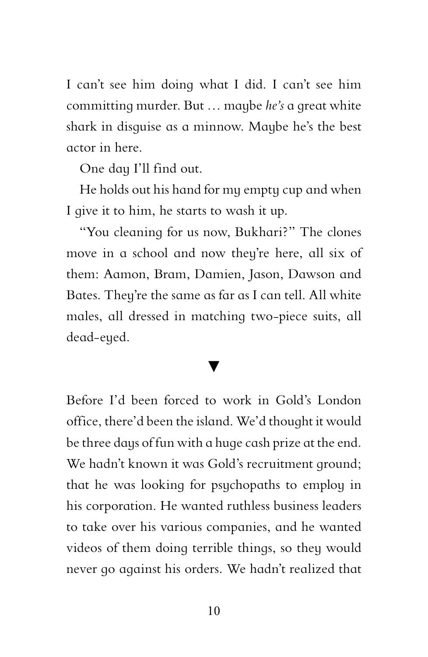I can't see him doing what I did. I can't see him committing murder. But … maybe *he's* a great white shark in disguise as a minnow. Maybe he's the best actor in here.

One day I'll find out.

He holds out his hand for my empty cup and when I give it to him, he starts to wash it up.

"You cleaning for us now, Bukhari?" The clones move in a school and now they're here, all six of them: Aamon, Bram, Damien, Jason, Dawson and Bates. They're the same as far as I can tell. All white males, all dressed in matching two-piece suits, all dead-eyed.

Before I'd been forced to work in Gold's London office, there'd been the island. We'd thought it would be three days of fun with a huge cash prize at the end. We hadn't known it was Gold's recruitment ground; that he was looking for psychopaths to employ in his corporation. He wanted ruthless business leaders to take over his various companies, and he wanted videos of them doing terrible things, so they would never go against his orders. We hadn't realized that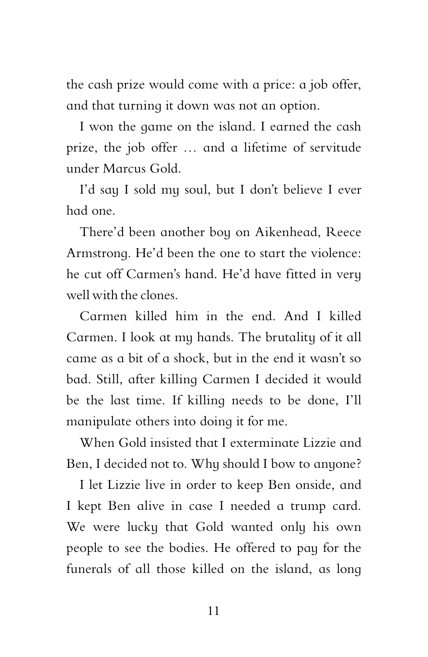the cash prize would come with a price: a job offer, and that turning it down was not an option.

I won the game on the island. I earned the cash prize, the job offer … and a lifetime of servitude under Marcus Gold.

I'd say I sold my soul, but I don't believe I ever had one.

There'd been another boy on Aikenhead, Reece Armstrong. He'd been the one to start the violence: he cut off Carmen's hand. He'd have fitted in very well with the clones.

Carmen killed him in the end. And I killed Carmen. I look at my hands. The brutality of it all came as a bit of a shock, but in the end it wasn't so bad. Still, after killing Carmen I decided it would be the last time. If killing needs to be done, I'll manipulate others into doing it for me.

When Gold insisted that I exterminate Lizzie and Ben, I decided not to. Why should I bow to anyone?

I let Lizzie live in order to keep Ben onside, and I kept Ben alive in case I needed a trump card. We were lucky that Gold wanted only his own people to see the bodies. He offered to pay for the funerals of all those killed on the island, as long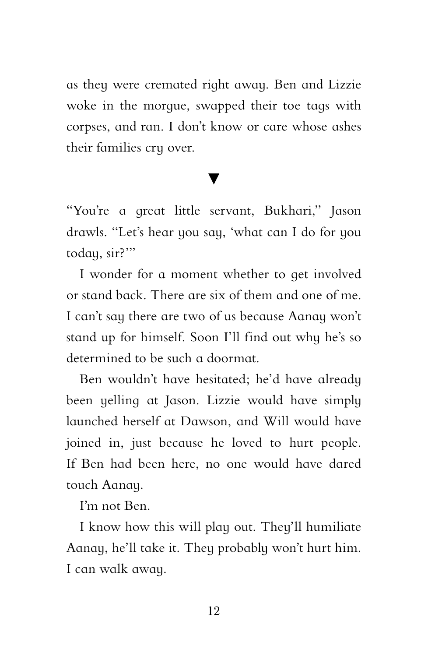as they were cremated right away. Ben and Lizzie woke in the morgue, swapped their toe tags with corpses, and ran. I don't know or care whose ashes their families cry over.

"You're a great little servant, Bukhari," Jason drawls. "Let's hear you say, 'what can I do for you today, sir?"

I wonder for a moment whether to get involved or stand back. There are six of them and one of me. I can't say there are two of us because Aanay won't stand up for himself. Soon I'll find out why he's so determined to be such a doormat.

Ben wouldn't have hesitated; he'd have already been yelling at Jason. Lizzie would have simply launched herself at Dawson, and Will would have joined in, just because he loved to hurt people. If Ben had been here, no one would have dared touch Aanay.

I'm not Ben.

I know how this will play out. They'll humiliate Aanay, he'll take it. They probably won't hurt him. I can walk away.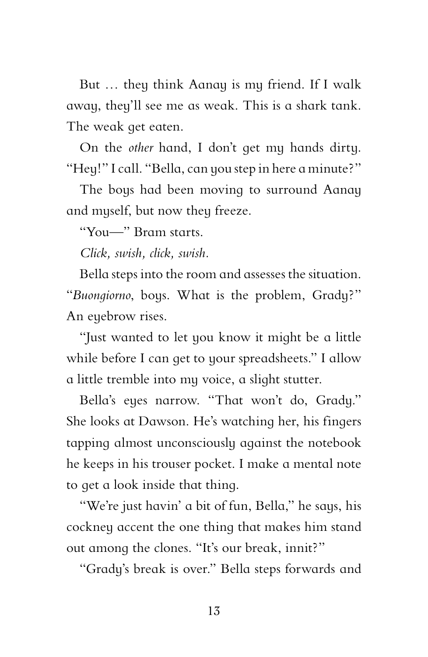But … they think Aanay is my friend. If I walk away, they'll see me as weak. This is a shark tank. The weak get eaten.

On the *other* hand, I don't get my hands dirty. "Hey!" I call. "Bella, can you step in here a minute?"

The boys had been moving to surround Aanay and myself, but now they freeze.

"You—" Bram starts.

*Click, swish, click, swish.*

Bella steps into the room and assesses the situation. "*Buongiorno*, boys. What is the problem, Grady?" An eyebrow rises.

"Just wanted to let you know it might be a little while before I can get to your spreadsheets." I allow a little tremble into my voice, a slight stutter.

Bella's eyes narrow. "That won't do, Grady." She looks at Dawson. He's watching her, his fingers tapping almost unconsciously against the notebook he keeps in his trouser pocket. I make a mental note to get a look inside that thing.

"We're just havin' a bit of fun, Bella," he says, his cockney accent the one thing that makes him stand out among the clones. "It's our break, innit?"

"Grady's break is over." Bella steps forwards and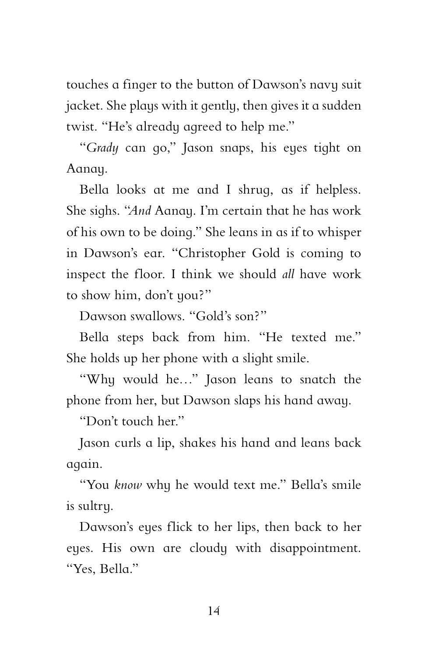touches a finger to the button of Dawson's navy suit jacket. She plays with it gently, then gives it a sudden twist. "He's already agreed to help me."

"*Grady* can go," Jason snaps, his eyes tight on Aanay.

Bella looks at me and I shrug, as if helpless. She sighs. "*And* Aanay. I'm certain that he has work of his own to be doing." She leans in as if to whisper in Dawson's ear. "Christopher Gold is coming to inspect the floor. I think we should *all* have work to show him, don't you?"

Dawson swallows. "Gold's son?"

Bella steps back from him. "He texted me." She holds up her phone with a slight smile.

"Why would he…" Jason leans to snatch the phone from her, but Dawson slaps his hand away.

"Don't touch her."

Jason curls a lip, shakes his hand and leans back again.

"You *know* why he would text me." Bella's smile is sultry.

Dawson's eyes flick to her lips, then back to her eyes. His own are cloudy with disappointment. "Yes, Bella."